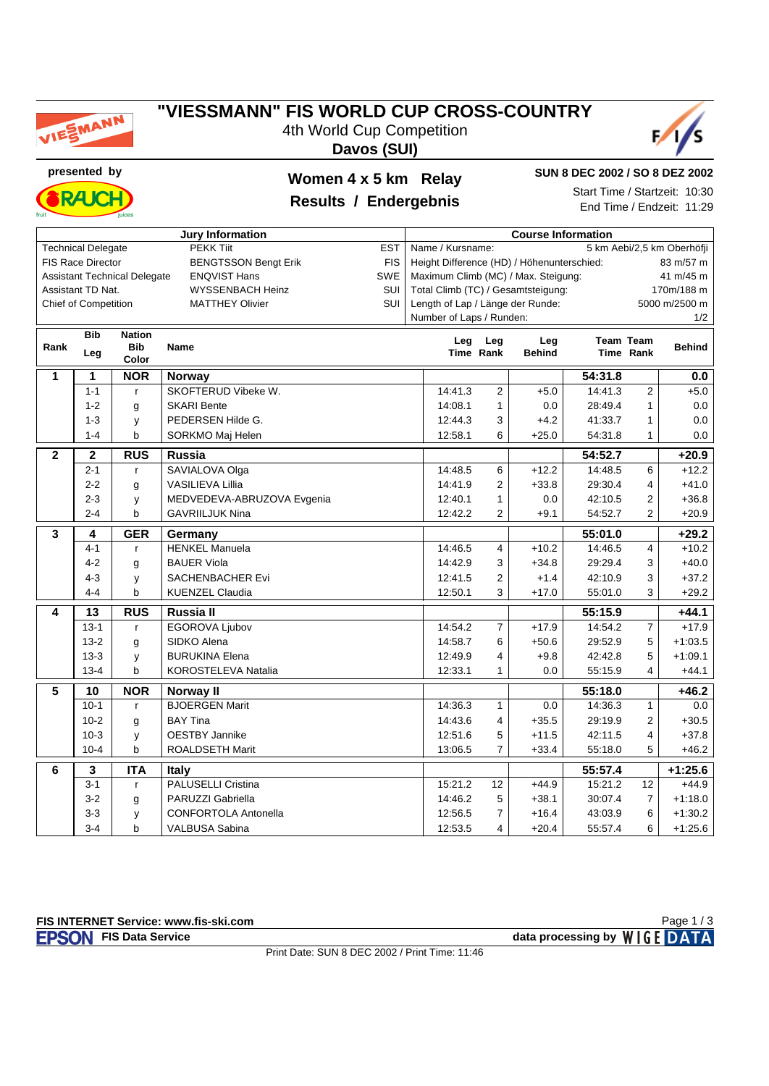

## **"VIESSMANN" FIS WORLD CUP CROSS-COUNTRY**

4th World Cup Competition





**presented by Women 4 x 5 km Relay**



### **Results / Endergebnis**

**SUN 8 DEC 2002 / SO 8 DEZ 2002**

Start Time / Startzeit: 10:30 End Time / Endzeit: 11:29

|                | <b>Jury Information</b><br><b>Course Information</b> |                                     |                                      |            |                                                         |                |               |                         |                |                            |  |
|----------------|------------------------------------------------------|-------------------------------------|--------------------------------------|------------|---------------------------------------------------------|----------------|---------------|-------------------------|----------------|----------------------------|--|
|                | <b>Technical Delegate</b>                            |                                     | <b>PEKK Tiit</b>                     | <b>EST</b> | Name / Kursname:                                        |                |               |                         |                | 5 km Aebi/2,5 km Oberhöfji |  |
|                | <b>FIS Race Director</b>                             |                                     | <b>BENGTSSON Bengt Erik</b>          | <b>FIS</b> | Height Difference (HD) / Höhenunterschied:<br>83 m/57 m |                |               |                         |                |                            |  |
|                |                                                      | <b>Assistant Technical Delegate</b> | <b>ENQVIST Hans</b>                  | SWE        | Maximum Climb (MC) / Max. Steigung:<br>41 m/45 m        |                |               |                         |                |                            |  |
|                | Assistant TD Nat.                                    |                                     | WYSSENBACH Heinz                     | SUI        | Total Climb (TC) / Gesamtsteigung:<br>170m/188 m        |                |               |                         |                |                            |  |
|                | Chief of Competition                                 |                                     | <b>MATTHEY Olivier</b>               | SUI        | Length of Lap / Länge der Runde:                        |                |               |                         |                | 5000 m/2500 m              |  |
|                | Number of Laps / Runden:                             |                                     |                                      |            |                                                         |                |               |                         |                | 1/2                        |  |
|                | <b>Bib</b>                                           | <b>Nation</b>                       |                                      |            |                                                         | Leg<br>Leg     |               | <b>Team Team</b><br>Leg |                |                            |  |
| Rank           | Leg                                                  | <b>Bib</b><br>Color                 | <b>Name</b>                          |            |                                                         | Time Rank      | <b>Behind</b> |                         | Time Rank      | <b>Behind</b>              |  |
| 1              | 1                                                    | <b>NOR</b>                          |                                      |            |                                                         |                |               | 54:31.8                 |                | 0.0                        |  |
|                | $1 - 1$                                              | $\mathsf{r}$                        | <b>Norway</b><br>SKOFTERUD Vibeke W. |            | 14:41.3                                                 | $\overline{2}$ | $+5.0$        | 14:41.3                 | $\overline{2}$ | $+5.0$                     |  |
|                | $1 - 2$                                              |                                     | <b>SKARI Bente</b>                   |            | 14:08.1                                                 | $\mathbf{1}$   | 0.0           | 28:49.4                 | 1              | 0.0                        |  |
|                | $1 - 3$                                              | g<br>y                              | PEDERSEN Hilde G.                    |            | 12:44.3                                                 | 3              | $+4.2$        | 41:33.7                 | 1              | 0.0                        |  |
|                | $1 - 4$                                              | þ                                   | SORKMO Maj Helen                     |            | 12:58.1                                                 | 6              | $+25.0$       | 54:31.8                 | 1              | 0.0                        |  |
|                |                                                      |                                     |                                      |            |                                                         |                |               |                         |                |                            |  |
| $\overline{2}$ | $\boldsymbol{2}$                                     | $\overline{R}$ US                   | Russia                               |            |                                                         |                |               | 54:52.7                 |                | $+20.9$                    |  |
|                | $2 - 1$                                              | $\mathsf{r}$                        | SAVIALOVA Olga                       |            | 14:48.5                                                 | 6              | $+12.2$       | 14:48.5                 | 6              | $+12.2$                    |  |
|                | $2 - 2$                                              | g                                   | <b>VASILIEVA Lillia</b>              |            | 14:41.9                                                 | $\overline{2}$ | $+33.8$       | 29:30.4                 | 4              | $+41.0$                    |  |
|                | $2 - 3$                                              | y                                   | MEDVEDEVA-ABRUZOVA Evgenia           | 12:40.1    | 1                                                       | 0.0            | 42:10.5       | $\overline{2}$          | $+36.8$        |                            |  |
|                | $2 - 4$                                              | b                                   | <b>GAVRIILJUK Nina</b>               |            | 12:42.2                                                 | 2              | $+9.1$        | 54:52.7                 | 2              | $+20.9$                    |  |
| 3              | 4                                                    | <b>GER</b>                          | Germany                              |            |                                                         |                |               | 55:01.0                 |                | $+29.2$                    |  |
|                | $4 - 1$                                              | $\mathsf{r}$                        | <b>HENKEL Manuela</b>                |            | 14:46.5                                                 | 4              | $+10.2$       | 14:46.5                 | 4              | $+10.2$                    |  |
|                | $4 - 2$                                              | g                                   | <b>BAUER Viola</b>                   |            | 14:42.9                                                 | 3              | $+34.8$       | 29:29.4                 | 3              | $+40.0$                    |  |
|                | $4 - 3$                                              | у                                   | <b>SACHENBACHER Evi</b>              | 12:41.5    | 2                                                       | $+1.4$         | 42:10.9       | 3                       | $+37.2$        |                            |  |
|                | $4 - 4$                                              | b                                   | <b>KUENZEL Claudia</b>               |            | 12:50.1                                                 | 3              | $+17.0$       | 55:01.0                 | 3              | $+29.2$                    |  |
| 4              | 13                                                   | <b>RUS</b>                          | Russia II                            |            |                                                         |                |               | 55:15.9                 |                | $+44.1$                    |  |
|                | $13 - 1$                                             | $\mathsf{r}$                        | EGOROVA Ljubov                       |            | 14:54.2                                                 | $\overline{7}$ | $+17.9$       | 14:54.2                 | $\overline{7}$ | $+17.9$                    |  |
|                | $13 - 2$                                             | g                                   | SIDKO Alena                          |            | 14:58.7                                                 | 6              | $+50.6$       | 29:52.9                 | 5              | $+1:03.5$                  |  |
|                | $13-3$                                               | y                                   | <b>BURUKINA Elena</b>                |            | 12:49.9                                                 | 4              | $+9.8$        | 42:42.8                 | 5              | $+1:09.1$                  |  |
|                | $13 - 4$                                             | b                                   | KOROSTELEVA Natalia                  |            | 12:33.1                                                 | 1              | 0.0           | 55:15.9                 | 4              | $+44.1$                    |  |
| 5              | 10                                                   | <b>NOR</b>                          | Norway II                            |            |                                                         |                |               | 55:18.0                 |                | $+46.2$                    |  |
|                | $10-1$                                               | $\mathsf{r}$                        | <b>BJOERGEN Marit</b>                |            | 14:36.3                                                 | $\mathbf{1}$   | 0.0           | 14:36.3                 | $\mathbf{1}$   | 0.0                        |  |
|                | $10 - 2$                                             | g                                   | <b>BAY Tina</b>                      |            | 14:43.6                                                 | 4              | $+35.5$       | 29:19.9                 | 2              | $+30.5$                    |  |
|                | $10-3$                                               | y                                   | <b>OESTBY Jannike</b>                |            | 12:51.6                                                 | 5              | $+11.5$       | 42:11.5                 | 4              | $+37.8$                    |  |
|                | $10 - 4$                                             | b                                   | <b>ROALDSETH Marit</b>               |            | 13:06.5                                                 | $\overline{7}$ | $+33.4$       | 55:18.0                 | 5              | $+46.2$                    |  |
| 6              | 3                                                    | <b>ITA</b>                          | <b>Italy</b>                         |            |                                                         |                |               | 55:57.4                 |                | $+1:25.6$                  |  |
|                | $3 - 1$                                              | $\mathsf{r}$                        | <b>PALUSELLI Cristina</b>            |            | 15:21.2                                                 | 12             | $+44.9$       | 15:21.2                 | 12             | $+44.9$                    |  |
|                | $3-2$                                                | g                                   | PARUZZI Gabriella                    |            | 14:46.2                                                 | 5              | $+38.1$       | 30:07.4                 | $\overline{7}$ | $+1:18.0$                  |  |
|                | $3 - 3$                                              | y                                   | <b>CONFORTOLA Antonella</b>          |            | 12:56.5                                                 | $\overline{7}$ | $+16.4$       | 43:03.9                 | 6              | $+1:30.2$                  |  |
|                | $3 - 4$                                              | b                                   | <b>VALBUSA Sabina</b>                | 12:53.5    | 4                                                       | $+20.4$        | 55:57.4       | 6                       | $+1:25.6$      |                            |  |

**FISON** FIS Data Service **data processing by** WIGE DATA Page 1 / 3

Print Date: SUN 8 DEC 2002 / Print Time: 11:46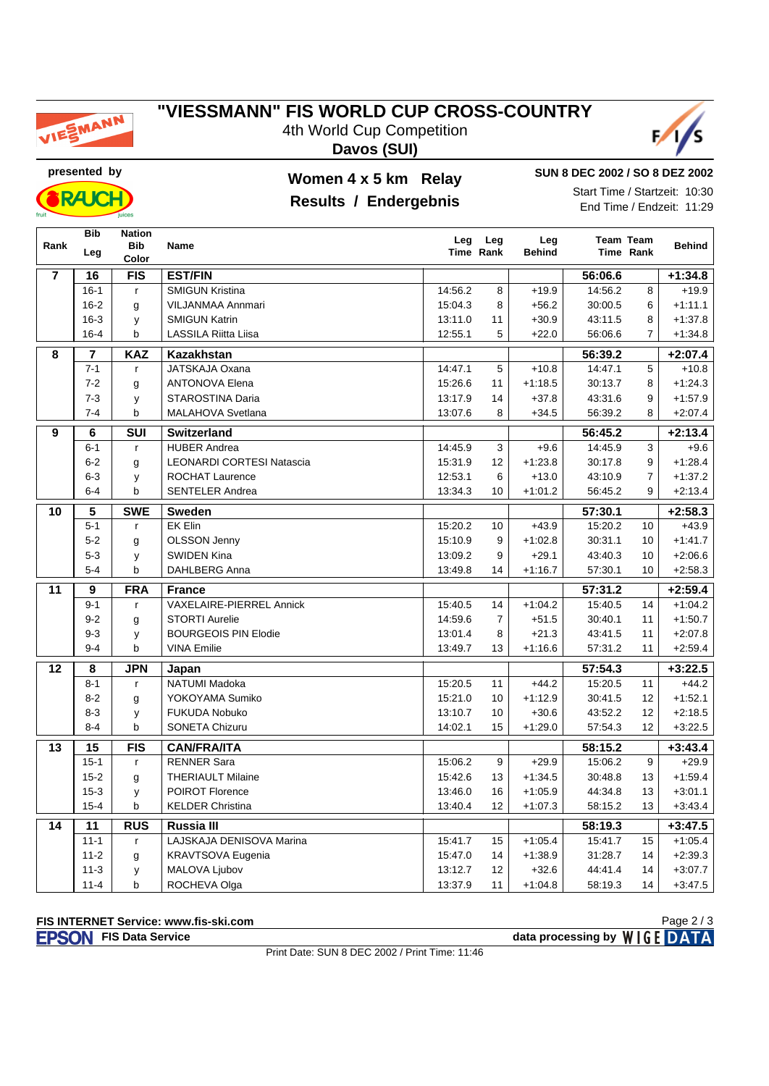

## "VIESSMANN" FIS WORLD CUP CROSS-COUNTRY

4th World Cup Competition Davos (SUI)



presented by

**RAIC** 

#### Women 4 x 5 km Relay

#### Results / Endergebnis

SUN 8 DEC 2002 / SO 8 DEZ 2002 Start Time / Startzeit: 10:30 End Time / Endzeit: 11:29

|                         | <b>Bib</b>      | <b>Nation</b>           |                                  | Leg     | Leg              | Leg           |         | <b>Team Team</b> |               |
|-------------------------|-----------------|-------------------------|----------------------------------|---------|------------------|---------------|---------|------------------|---------------|
| Rank                    | Leg             | <b>Bib</b><br>Color     | Name                             |         | <b>Time Rank</b> | <b>Behind</b> |         | Time Rank        | <b>Behind</b> |
| $\overline{\mathbf{r}}$ | 16              | <b>FIS</b>              | <b>EST/FIN</b>                   |         |                  |               | 56:06.6 |                  | $+1:34.8$     |
|                         | $16 - 1$        | $\mathsf{r}$            | <b>SMIGUN Kristina</b>           | 14:56.2 | 8                | $+19.9$       | 14:56.2 | 8                | $+19.9$       |
|                         | $16 - 2$        | g                       | <b>VILJANMAA Annmari</b>         | 15:04.3 | 8                | $+56.2$       | 30:00.5 | 6                | $+1:11.1$     |
|                         | $16 - 3$        | y                       | <b>SMIGUN Katrin</b>             | 13:11.0 | 11               | $+30.9$       | 43:11.5 | 8                | $+1:37.8$     |
|                         | $16 - 4$        | b                       | LASSILA Riitta Liisa             | 12:55.1 | 5                | $+22.0$       | 56:06.6 | $\overline{7}$   | $+1:34.8$     |
| 8                       | $\overline{7}$  | <b>KAZ</b>              | Kazakhstan                       |         |                  |               | 56:39.2 |                  | $+2:07.4$     |
|                         | $7 - 1$         | r                       | <b>JATSKAJA Oxana</b>            | 14:47.1 | 5                | $+10.8$       | 14:47.1 | 5                | $+10.8$       |
|                         | $7 - 2$         | g                       | <b>ANTONOVA Elena</b>            | 15:26.6 | 11               | $+1:18.5$     | 30:13.7 | 8                | $+1:24.3$     |
|                         | $7 - 3$         | y                       | <b>STAROSTINA Daria</b>          | 13:17.9 | 14               | $+37.8$       | 43:31.6 | 9                | $+1:57.9$     |
|                         | $7 - 4$         | b                       | MALAHOVA Svetlana                | 13:07.6 | 8                | $+34.5$       | 56:39.2 | 8                | $+2:07.4$     |
| 9                       | 6               | $\overline{\text{SUI}}$ | <b>Switzerland</b>               |         |                  |               | 56:45.2 |                  | $+2:13.4$     |
|                         | $6 - 1$         | $\mathsf{r}$            | <b>HUBER Andrea</b>              | 14:45.9 | 3                | $+9.6$        | 14:45.9 | 3                | $+9.6$        |
|                         | $6 - 2$         | g                       | <b>LEONARDI CORTESI Natascia</b> | 15:31.9 | 12               | $+1:23.8$     | 30:17.8 | 9                | $+1:28.4$     |
|                         | $6-3$           | y                       | <b>ROCHAT Laurence</b>           | 12:53.1 | 6                | $+13.0$       | 43:10.9 | $\overline{7}$   | $+1:37.2$     |
|                         | $6 - 4$         | b                       | <b>SENTELER Andrea</b>           | 13:34.3 | 10               | $+1:01.2$     | 56:45.2 | 9                | $+2:13.4$     |
| 10                      | $5\phantom{a}$  | <b>SWE</b>              | <b>Sweden</b>                    |         |                  |               | 57:30.1 |                  | $+2:58.3$     |
|                         | $5 - 1$         | $\mathsf{r}$            | <b>EK Elin</b>                   | 15:20.2 | 10               | $+43.9$       | 15:20.2 | 10               | $+43.9$       |
|                         | $5 - 2$         | g                       | <b>OLSSON Jenny</b>              | 15:10.9 | 9                | $+1:02.8$     | 30:31.1 | 10               | $+1:41.7$     |
|                         | $5-3$           | у                       | <b>SWIDEN Kina</b>               | 13:09.2 | 9                | $+29.1$       | 43:40.3 | 10               | $+2:06.6$     |
|                         | $5-4$           | b                       | <b>DAHLBERG Anna</b>             | 13:49.8 | 14               | $+1:16.7$     | 57:30.1 | 10 <sup>1</sup>  | $+2:58.3$     |
| 11                      | $\overline{9}$  | <b>FRA</b>              | <b>France</b>                    |         |                  |               | 57:31.2 |                  | $+2:59.4$     |
|                         | $9 - 1$         | $\mathsf{r}$            | <b>VAXELAIRE-PIERREL Annick</b>  | 15:40.5 | 14               | $+1:04.2$     | 15:40.5 | 14               | $+1:04.2$     |
|                         | $9 - 2$         | g                       | <b>STORTI Aurelie</b>            | 14:59.6 | $\overline{7}$   | $+51.5$       | 30:40.1 | 11               | $+1:50.7$     |
|                         | $9 - 3$         | y                       | <b>BOURGEOIS PIN Elodie</b>      | 13:01.4 | 8                | $+21.3$       | 43:41.5 | 11               | $+2:07.8$     |
|                         | $9 - 4$         | $\mathbf b$             | <b>VINA Emilie</b>               | 13:49.7 | 13               | $+1:16.6$     | 57:31.2 | 11               | $+2:59.4$     |
| 12                      | 8               | <b>JPN</b>              | Japan                            |         |                  |               | 57:54.3 |                  | $+3:22.5$     |
|                         | $8 - 1$         | $\mathsf{r}$            | <b>NATUMI Madoka</b>             | 15:20.5 | 11               | $+44.2$       | 15:20.5 | 11               | $+44.2$       |
|                         | $8 - 2$         | g                       | YOKOYAMA Sumiko                  | 15:21.0 | 10               | $+1:12.9$     | 30:41.5 | 12               | $+1:52.1$     |
|                         | $8 - 3$         | y                       | <b>FUKUDA Nobuko</b>             | 13:10.7 | 10               | $+30.6$       | 43:52.2 | 12               | $+2:18.5$     |
|                         | $8 - 4$         | b                       | <b>SONETA Chizuru</b>            | 14:02.1 | 15               | $+1:29.0$     | 57:54.3 | 12               | $+3:22.5$     |
| 13                      | $\overline{15}$ | FIS                     | <b>CAN/FRA/ITA</b>               |         |                  |               | 58:15.2 |                  | $+3:43.4$     |
|                         | $15 - 1$        | $\mathbf{r}$            | <b>RENNER Sara</b>               | 15:06.2 | 9                | $+29.9$       | 15:06.2 | 9                | $+29.9$       |
|                         | $15 - 2$        | g                       | <b>THERIAULT Milaine</b>         | 15:42.6 | 13               | $+1:34.5$     | 30:48.8 | 13               | $+1:59.4$     |
|                         | $15 - 3$        | y                       | <b>POIROT Florence</b>           | 13:46.0 | 16               | $+1:05.9$     | 44:34.8 | 13               | $+3:01.1$     |
|                         | $15 - 4$        | b                       | <b>KELDER Christina</b>          | 13:40.4 | 12               | $+1:07.3$     | 58:15.2 | 13               | $+3:43.4$     |
| 14                      | 11              | <b>RUS</b>              | Russia III                       |         |                  |               | 58:19.3 |                  | $+3:47.5$     |
|                         | $11 - 1$        | $\mathsf{r}$            | LAJSKAJA DENISOVA Marina         | 15:41.7 | 15               | $+1:05.4$     | 15:41.7 | 15               | $+1:05.4$     |
|                         | $11 - 2$        | g                       | KRAVTSOVA Eugenia                | 15:47.0 | 14               | $+1.38.9$     | 31:28.7 | 14               | $+2.39.3$     |
|                         | $11 - 3$        | y                       | MALOVA Ljubov                    | 13:12.7 | 12               | $+32.6$       | 44:41.4 | 14               | $+3:07.7$     |
|                         | $11 - 4$        | b                       | ROCHEVA Olga                     | 13:37.9 | 11               | $+1:04.8$     | 58:19.3 | 14               | $+3:47.5$     |

#### FIS INTERNET Service: www.fis-ski.com

**EPSON** FIS Data Service

Page 2/3 data processing by WIGE DATA

Print Date: SUN 8 DEC 2002 / Print Time: 11:46